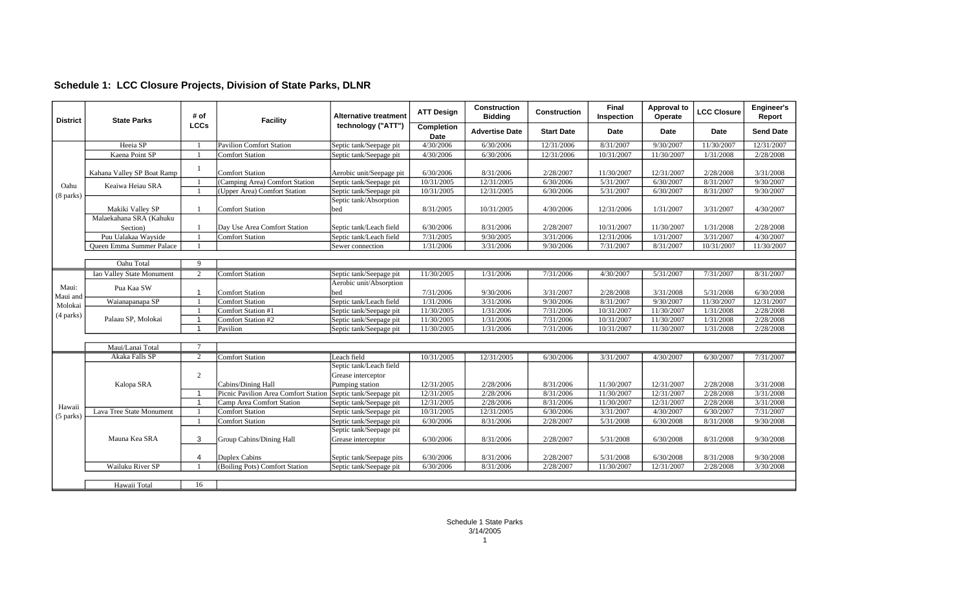## **Schedule 1: LCC Closure Projects, Division of State Parks, DLNR**

| <b>District</b>                                                                   | <b>State Parks</b>              | # of<br><b>LCCs</b> | <b>Facility</b>                      | <b>Alternative treatment</b><br>technology ("ATT") | <b>ATT Design</b>  | <b>Construction</b><br><b>Bidding</b> | <b>Construction</b> | <b>Final</b><br>Inspection | <b>Approval to</b><br>Operate | <b>LCC Closure</b> | Engineer's<br>Report |
|-----------------------------------------------------------------------------------|---------------------------------|---------------------|--------------------------------------|----------------------------------------------------|--------------------|---------------------------------------|---------------------|----------------------------|-------------------------------|--------------------|----------------------|
|                                                                                   |                                 |                     |                                      |                                                    | Completion<br>Date | <b>Advertise Date</b>                 | <b>Start Date</b>   | Date                       | Date                          | <b>Date</b>        | <b>Send Date</b>     |
|                                                                                   | Heeia SP                        |                     | Pavilion Comfort Station             | Septic tank/Seepage pit                            | 4/30/2006          | 6/30/2006                             | 12/31/2006          | 8/31/2007                  | 9/30/2007                     | 11/30/2007         | 12/31/2007           |
|                                                                                   | Kaena Point SP                  |                     | <b>Comfort Station</b>               | Septic tank/Seepage pit                            | 4/30/2006          | 6/30/2006                             | 12/31/2006          | 10/31/2007                 | 11/30/2007                    | 1/31/2008          | 2/28/2008            |
|                                                                                   | Kahana Valley SP Boat Ramp      |                     | <b>Comfort Station</b>               | Aerobic unit/Seepage pit                           | 6/30/2006          | 8/31/2006                             | 2/28/2007           | 11/30/2007                 | 12/31/2007                    | 2/28/2008          | 3/31/2008            |
|                                                                                   | Keaiwa Heiau SRA                |                     | (Camping Area) Comfort Station       | Septic tank/Seepage pit                            | 10/31/2005         | 12/31/2005                            | 6/30/2006           | 5/31/2007                  | 6/30/2007                     | 8/31/2007          | 9/30/2007            |
|                                                                                   |                                 |                     | (Upper Area) Comfort Station         | Septic tank/Seepage pit                            | 10/31/2005         | 12/31/2005                            | 6/30/2006           | 5/31/2007                  | 6/30/2007                     | 8/31/2007          | 9/30/2007            |
|                                                                                   |                                 |                     |                                      | Septic tank/Absorption                             |                    |                                       |                     |                            |                               |                    |                      |
|                                                                                   | Makiki Valley SP                |                     | Comfort Station                      | bed                                                | 8/31/2005          | 10/31/2005                            | 4/30/2006           | 12/31/2006                 | 1/31/2007                     | 3/31/2007          | 4/30/2007            |
|                                                                                   | Malaekahana SRA (Kahuku         |                     |                                      |                                                    |                    |                                       |                     |                            |                               |                    |                      |
|                                                                                   | Section)                        |                     | Day Use Area Comfort Station         | Septic tank/Leach field                            | 6/30/2006          | 8/31/2006                             | 2/28/2007           | 10/31/2007                 | 11/30/2007                    | 1/31/2008          | 2/28/2008            |
|                                                                                   | Puu Ualakaa Wayside             |                     | Comfort Station                      | Septic tank/Leach field                            | 7/31/2005          | 9/30/2005                             | 3/31/2006           | 12/31/2006                 | 1/31/2007                     | 3/31/2007          | 4/30/2007            |
|                                                                                   | <b>Oueen Emma Summer Palace</b> |                     |                                      | Sewer connection                                   | 1/31/2006          | 3/31/2006                             | 9/30/2006           | 7/31/2007                  | 8/31/2007                     | 10/31/2007         | 11/30/2007           |
|                                                                                   |                                 |                     |                                      |                                                    |                    |                                       |                     |                            |                               |                    |                      |
|                                                                                   | Oahu Total                      | $\mathbf Q$         |                                      |                                                    |                    |                                       |                     |                            |                               |                    |                      |
|                                                                                   | Iao Valley State Monument       | 2                   | Comfort Station                      | Septic tank/Seepage pit                            | 11/30/2005         | 1/31/2006                             | 7/31/2006           | 4/30/2007                  | 5/31/2007                     | 7/31/2007          | 8/31/2007            |
|                                                                                   | Pua Kaa SW                      |                     |                                      | Aerobic unit/Absorption                            |                    |                                       |                     |                            |                               |                    |                      |
|                                                                                   |                                 | 1                   | Comfort Station                      | bed                                                | 7/31/2006          | 9/30/2006                             | 3/31/2007           | 2/28/2008                  | 3/31/2008                     | 5/31/2008          | 6/30/2008            |
|                                                                                   | Waianapanapa SP                 |                     | Comfort Station                      | Septic tank/Leach field                            | 1/31/2006          | 3/31/2006                             | 9/30/2006           | 8/31/2007                  | 9/30/2007                     | 11/30/2007         | 12/31/2007           |
| Molokai                                                                           |                                 |                     | Comfort Station #1                   | Septic tank/Seepage pit                            | 11/30/2005         | 1/31/2006                             | 7/31/2006           | 10/31/2007                 | 11/30/2007                    | 1/31/2008          | 2/28/2008            |
|                                                                                   | Palaau SP, Molokai              | $\mathbf{1}$        | Comfort Station #2                   | Septic tank/Seepage pit                            | 11/30/2005         | 1/31/2006                             | 7/31/2006           | 10/31/2007                 | 11/30/2007                    | 1/31/2008          | 2/28/2008            |
| Oahu<br>$(8$ parks $)$<br>Maui:<br>Maui and<br>(4 parks)<br>Hawaii<br>$(5$ parks) |                                 | 1                   | Pavilion                             | Septic tank/Seepage pit                            | 11/30/2005         | 1/31/2006                             | 7/31/2006           | 10/31/2007                 | 11/30/2007                    | 1/31/2008          | 2/28/2008            |
|                                                                                   |                                 |                     |                                      |                                                    |                    |                                       |                     |                            |                               |                    |                      |
|                                                                                   | Maui/Lanai Total                |                     |                                      |                                                    |                    |                                       |                     |                            |                               |                    |                      |
|                                                                                   | Akaka Falls SP                  | 2                   | Comfort Station                      | Leach field                                        | 10/31/2005         | 12/31/2005                            | 6/30/2006           | 3/31/2007                  | 4/30/2007                     | 6/30/2007          | 7/31/2007            |
|                                                                                   |                                 |                     |                                      | Septic tank/Leach field                            |                    |                                       |                     |                            |                               |                    |                      |
|                                                                                   |                                 | $\overline{2}$      |                                      | Grease interceptor                                 |                    |                                       |                     |                            |                               |                    |                      |
|                                                                                   | Kalopa SRA                      |                     | Cabins/Dining Hall                   | Pumping station                                    | 12/31/2005         | 2/28/2006                             | 8/31/2006           | 11/30/2007                 | 12/31/2007                    | 2/28/2008          | 3/31/2008            |
|                                                                                   |                                 | $\mathbf{1}$        | Picnic Pavilion Area Comfort Station | Septic tank/Seepage pit                            | 12/31/2005         | 2/28/2006                             | 8/31/2006           | 11/30/2007                 | 12/31/2007                    | 2/28/2008          | 3/31/2008            |
|                                                                                   |                                 | $\mathbf{1}$        | Camp Area Comfort Station            | Septic tank/Seepage pit                            | 12/31/2005         | 2/28/2006                             | 8/31/2006           | 11/30/2007                 | 12/31/2007                    | 2/28/2008          | 3/31/2008            |
|                                                                                   | Lava Tree State Monument        |                     | Comfort Station                      | Septic tank/Seepage pit                            | 10/31/2005         | 12/31/2005                            | 6/30/2006           | 3/31/2007                  | 4/30/2007                     | 6/30/2007          | 7/31/2007            |
|                                                                                   |                                 | -1                  | Comfort Station                      | Septic tank/Seepage pit                            | 6/30/2006          | 8/31/2006                             | 2/28/2007           | 5/31/2008                  | 6/30/2008                     | 8/31/2008          | 9/30/2008            |
|                                                                                   |                                 |                     |                                      | Septic tank/Seepage pit                            |                    |                                       |                     |                            |                               |                    |                      |
|                                                                                   | Mauna Kea SRA                   | 3                   | Group Cabins/Dining Hall             | Grease interceptor                                 | 6/30/2006          | 8/31/2006                             | 2/28/2007           | 5/31/2008                  | 6/30/2008                     | 8/31/2008          | 9/30/2008            |
|                                                                                   |                                 |                     |                                      |                                                    |                    |                                       |                     |                            |                               |                    |                      |
|                                                                                   |                                 | 4                   | Duplex Cabins                        | Septic tank/Seepage pits                           | 6/30/2006          | 8/31/2006                             | 2/28/2007           | 5/31/2008                  | 6/30/2008                     | 8/31/2008          | 9/30/2008            |
|                                                                                   | Wailuku River SP                |                     | (Boiling Pots) Comfort Station       | Septic tank/Seepage pit                            | 6/30/2006          | 8/31/2006                             | 2/28/2007           | 11/30/2007                 | 12/31/2007                    | 2/28/2008          | 3/30/2008            |
|                                                                                   |                                 |                     |                                      |                                                    |                    |                                       |                     |                            |                               |                    |                      |
|                                                                                   | Hawaii Total                    | 16                  |                                      |                                                    |                    |                                       |                     |                            |                               |                    |                      |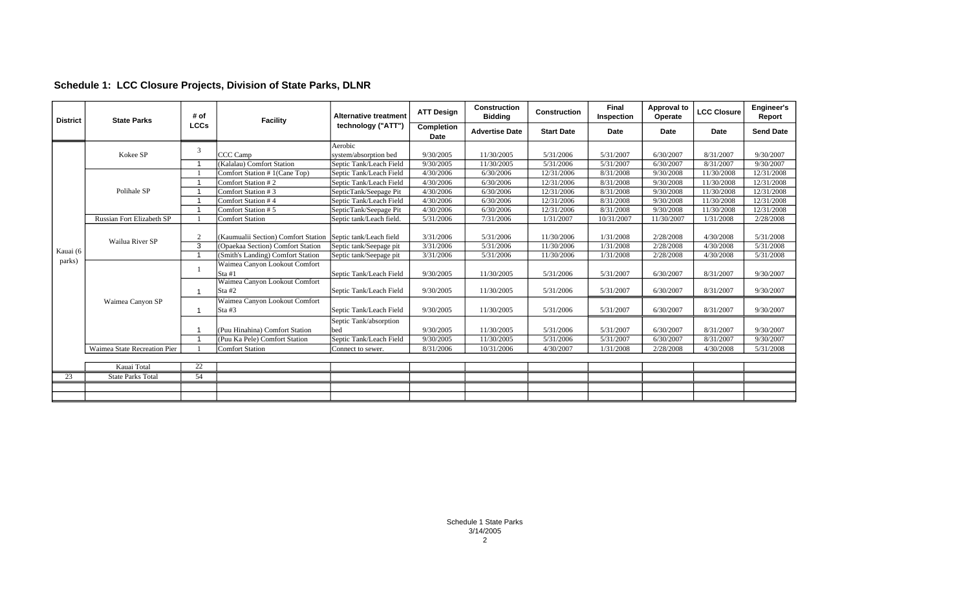| Schedule 1: LCC Closure Projects, Division of State Parks, DLNR |  |  |  |  |  |  |  |
|-----------------------------------------------------------------|--|--|--|--|--|--|--|
|-----------------------------------------------------------------|--|--|--|--|--|--|--|

| <b>District</b> | <b>State Parks</b>           | # of<br><b>LCCs</b>     | <b>Facility</b>                                             | <b>Alternative treatment</b><br>technology ("ATT") | <b>ATT Design</b>  | <b>Construction</b><br><b>Bidding</b> | <b>Construction</b> | Final<br>Inspection | <b>Approval to</b><br>Operate | <b>LCC Closure</b> | Engineer's<br>Report |
|-----------------|------------------------------|-------------------------|-------------------------------------------------------------|----------------------------------------------------|--------------------|---------------------------------------|---------------------|---------------------|-------------------------------|--------------------|----------------------|
|                 |                              |                         |                                                             |                                                    | Completion<br>Date | <b>Advertise Date</b>                 | <b>Start Date</b>   | Date                | Date                          | Date               | <b>Send Date</b>     |
|                 | Kokee SP                     | 3                       |                                                             | Aerobic                                            |                    |                                       |                     |                     |                               |                    |                      |
|                 |                              |                         | CCC Camp                                                    | system/absorption bed                              | 9/30/2005          | 11/30/2005                            | 5/31/2006           | 5/31/2007           | 6/30/2007                     | 8/31/2007          | 9/30/2007            |
|                 |                              |                         | (Kalalau) Comfort Station                                   | Septic Tank/Leach Field                            | 9/30/2005          | 11/30/2005                            | 5/31/2006           | 5/31/2007           | 6/30/2007                     | 8/31/2007          | 9/30/2007            |
|                 |                              |                         | Comfort Station # 1(Cane Top)                               | Septic Tank/Leach Field                            | 4/30/2006          | 6/30/2006                             | 12/31/2006          | 8/31/2008           | 9/30/2008                     | 11/30/2008         | 12/31/2008           |
|                 |                              |                         | Comfort Station #2                                          | Septic Tank/Leach Field                            | 4/30/2006          | 6/30/2006                             | 12/31/2006          | 8/31/2008           | 9/30/2008                     | 11/30/2008         | 12/31/2008           |
|                 | Polihale SP                  |                         | Comfort Station #3                                          | SepticTank/Seepage Pit                             | 4/30/2006          | 6/30/2006                             | 12/31/2006          | 8/31/2008           | 9/30/2008                     | 11/30/2008         | 12/31/2008           |
|                 |                              |                         | Comfort Station #4                                          | Septic Tank/Leach Field                            | 4/30/2006          | 6/30/2006                             | 12/31/2006          | 8/31/2008           | 9/30/2008                     | 11/30/2008         | 12/31/2008           |
|                 |                              |                         | Comfort Station # 5                                         | SepticTank/Seepage Pit                             | 4/30/2006          | 6/30/2006                             | 12/31/2006          | 8/31/2008           | 9/30/2008                     | 11/30/2008         | 12/31/2008           |
|                 | Russian Fort Elizabeth SP    |                         | <b>Comfort Station</b>                                      | Septic tank/Leach field.                           | 5/31/2006          | 7/31/2006                             | 1/31/2007           | 10/31/2007          | 11/30/2007                    | 1/31/2008          | 2/28/2008            |
|                 | Wailua River SP              | $\Omega$                | (Kaumualii Section) Comfort Station Septic tank/Leach field |                                                    | 3/31/2006          | 5/31/2006                             | 11/30/2006          | 1/31/2008           | 2/28/2008                     | 4/30/2008          | 5/31/2008            |
| Kauai (6        |                              | 3                       | (Opaekaa Section) Comfort Station                           | Septic tank/Seepage pit                            | 3/31/2006          | 5/31/2006                             | 11/30/2006          | 1/31/2008           | 2/28/2008                     | 4/30/2008          | 5/31/2008            |
|                 |                              | $\overline{\mathbf{1}}$ | (Smith's Landing) Comfort Station                           | Septic tank/Seepage pit                            | 3/31/2006          | 5/31/2006                             | 11/30/2006          | 1/31/2008           | 2/28/2008                     | 4/30/2008          | 5/31/2008            |
| parks)          | Waimea Canyon SP             |                         | Waimea Canyon Lookout Comfort<br>Sta #1                     | Septic Tank/Leach Field                            | 9/30/2005          | 11/30/2005                            | 5/31/2006           | 5/31/2007           | 6/30/2007                     | 8/31/2007          | 9/30/2007            |
|                 |                              |                         | Waimea Canyon Lookout Comfort<br>Sta #2                     | Septic Tank/Leach Field                            | 9/30/2005          | 11/30/2005                            | 5/31/2006           | 5/31/2007           | 6/30/2007                     | 8/31/2007          | 9/30/2007            |
|                 |                              |                         | Waimea Canyon Lookout Comfort<br>lSta #3                    | Septic Tank/Leach Field                            | 9/30/2005          | 11/30/2005                            | 5/31/2006           | 5/31/2007           | 6/30/2007                     | 8/31/2007          | 9/30/2007            |
|                 |                              |                         | (Puu Hinahina) Comfort Station                              | Septic Tank/absorption<br>bed                      | 9/30/2005          | 11/30/2005                            | 5/31/2006           | 5/31/2007           | 6/30/2007                     | 8/31/2007          | 9/30/2007            |
|                 |                              |                         | (Puu Ka Pele) Comfort Station                               | Septic Tank/Leach Field                            | 9/30/2005          | 11/30/2005                            | 5/31/2006           | 5/31/2007           | 6/30/2007                     | 8/31/2007          | 9/30/2007            |
|                 | Waimea State Recreation Pier |                         | <b>Comfort Station</b>                                      | Connect to sewer.                                  | 8/31/2006          | 10/31/2006                            | 4/30/2007           | 1/31/2008           | 2/28/2008                     | 4/30/2008          | 5/31/2008            |
|                 | Kauai Total                  | 22                      |                                                             |                                                    |                    |                                       |                     |                     |                               |                    |                      |
| 23              | <b>State Parks Total</b>     | 54                      |                                                             |                                                    |                    |                                       |                     |                     |                               |                    |                      |
|                 |                              |                         |                                                             |                                                    |                    |                                       |                     |                     |                               |                    |                      |
|                 |                              |                         |                                                             |                                                    |                    |                                       |                     |                     |                               |                    |                      |